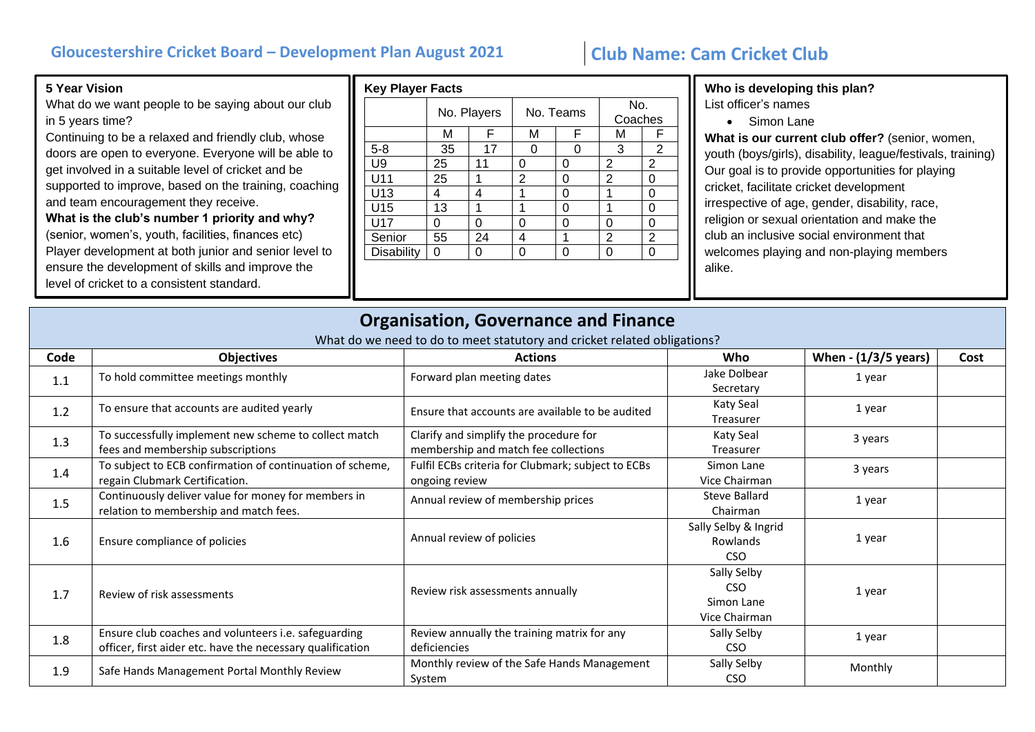## **Gloucestershire Cricket Board – Development Plan August 2021 Club Name: Cam Cricket Club**

## **5 Year Vision**

What do we want people to be saying about our club in 5 years time?

Continuing to be a relaxed and friendly club, whose doors are open to everyone. Everyone will be able to get involved in a suitable level of cricket and be supported to improve, based on the training, coaching and team encouragement they receive. **What is the club's number 1 priority and why?**  (senior, women's, youth, facilities, finances etc) Player development at both junior and senior level to ensure the development of skills and improve the level of cricket to a consistent standard.

| <b>Key Player Facts</b> |    |             |   |           |   |                |  |
|-------------------------|----|-------------|---|-----------|---|----------------|--|
|                         |    | No. Players |   | No. Teams |   | No.<br>Coaches |  |
|                         | м  | F           | M | F         | М | F              |  |
| $5 - 8$                 | 35 | 17          | U | Ω         | 3 | 2              |  |
| U9                      | 25 | 11          | 0 | 0         | 2 | 2              |  |
| U11                     | 25 | 1           | 2 | O         | 2 | O              |  |
| U13                     | 4  | 4           | 1 | O         | 1 | ი              |  |
| U15                     | 13 | 1           | 1 | 0         | 1 | 0              |  |
| U17                     | Ω  | 0           | ი | ი         | O | ი              |  |
| Senior                  | 55 | 24          | 4 | 1         | 2 | 2              |  |
| <b>Disability</b>       | 0  | 0           | ი | ი         | ი | ი              |  |
|                         |    |             |   |           |   |                |  |

**Who is developing this plan?** List officer's names

- 
- Simon Lane

**What is our current club offer?** (senior, women, youth (boys/girls), disability, league/festivals, training) Our goal is to provide opportunities for playing cricket, facilitate cricket development irrespective of age, gender, disability, race, religion or sexual orientation and make the club an inclusive social environment that welcomes playing and non-playing members alike.

|      | <b>Organisation, Governance and Finance</b><br>What do we need to do to meet statutory and cricket related obligations? |                                                                                |                                                          |                      |      |  |
|------|-------------------------------------------------------------------------------------------------------------------------|--------------------------------------------------------------------------------|----------------------------------------------------------|----------------------|------|--|
| Code | <b>Objectives</b>                                                                                                       | <b>Actions</b>                                                                 | Who                                                      | When - (1/3/5 years) | Cost |  |
| 1.1  | To hold committee meetings monthly                                                                                      | Forward plan meeting dates                                                     | Jake Dolbear<br>Secretary                                | 1 year               |      |  |
| 1.2  | To ensure that accounts are audited yearly                                                                              | Ensure that accounts are available to be audited                               | Katy Seal<br>Treasurer                                   | 1 year               |      |  |
| 1.3  | To successfully implement new scheme to collect match<br>fees and membership subscriptions                              | Clarify and simplify the procedure for<br>membership and match fee collections | Katy Seal<br>Treasurer                                   | 3 years              |      |  |
| 1.4  | To subject to ECB confirmation of continuation of scheme,<br>regain Clubmark Certification.                             | Fulfil ECBs criteria for Clubmark; subject to ECBs<br>ongoing review           | Simon Lane<br>Vice Chairman                              | 3 years              |      |  |
| 1.5  | Continuously deliver value for money for members in<br>relation to membership and match fees.                           | Annual review of membership prices                                             | <b>Steve Ballard</b><br>Chairman                         | 1 year               |      |  |
| 1.6  | Ensure compliance of policies                                                                                           | Annual review of policies                                                      | Sally Selby & Ingrid<br>Rowlands<br>CSO                  | 1 year               |      |  |
| 1.7  | Review of risk assessments                                                                                              | Review risk assessments annually                                               | Sally Selby<br><b>CSO</b><br>Simon Lane<br>Vice Chairman | 1 year               |      |  |
| 1.8  | Ensure club coaches and volunteers i.e. safeguarding<br>officer, first aider etc. have the necessary qualification      | Review annually the training matrix for any<br>deficiencies                    | Sally Selby<br><b>CSO</b>                                | 1 year               |      |  |
| 1.9  | Safe Hands Management Portal Monthly Review                                                                             | Monthly review of the Safe Hands Management<br>System                          | Sally Selby<br><b>CSO</b>                                | Monthly              |      |  |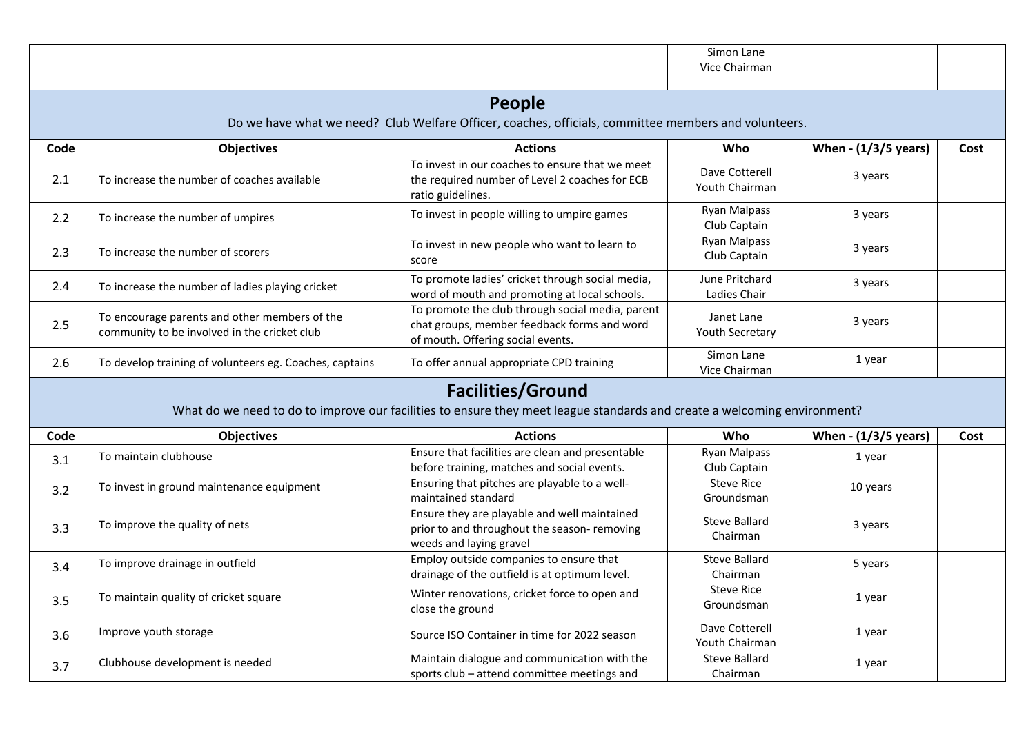|      |                                                                                               |                                                                                                                                                      | Simon Lane<br>Vice Chairman         |                      |      |
|------|-----------------------------------------------------------------------------------------------|------------------------------------------------------------------------------------------------------------------------------------------------------|-------------------------------------|----------------------|------|
|      |                                                                                               | <b>People</b><br>Do we have what we need? Club Welfare Officer, coaches, officials, committee members and volunteers.                                |                                     |                      |      |
| Code | <b>Objectives</b>                                                                             | <b>Actions</b>                                                                                                                                       | Who                                 | When - (1/3/5 years) | Cost |
| 2.1  | To increase the number of coaches available                                                   | To invest in our coaches to ensure that we meet<br>the required number of Level 2 coaches for ECB<br>ratio guidelines.                               | Dave Cotterell<br>Youth Chairman    | 3 years              |      |
| 2.2  | To increase the number of umpires                                                             | To invest in people willing to umpire games                                                                                                          | <b>Ryan Malpass</b><br>Club Captain | 3 years              |      |
| 2.3  | To increase the number of scorers                                                             | To invest in new people who want to learn to<br>score                                                                                                | <b>Ryan Malpass</b><br>Club Captain | 3 years              |      |
| 2.4  | To increase the number of ladies playing cricket                                              | To promote ladies' cricket through social media,<br>word of mouth and promoting at local schools.                                                    | June Pritchard<br>Ladies Chair      | 3 years              |      |
| 2.5  | To encourage parents and other members of the<br>community to be involved in the cricket club | To promote the club through social media, parent<br>chat groups, member feedback forms and word<br>of mouth. Offering social events.                 | Janet Lane<br>Youth Secretary       | 3 years              |      |
| 2.6  | To develop training of volunteers eg. Coaches, captains                                       | To offer annual appropriate CPD training                                                                                                             | Simon Lane<br>Vice Chairman         | 1 year               |      |
|      |                                                                                               | <b>Facilities/Ground</b><br>What do we need to do to improve our facilities to ensure they meet league standards and create a welcoming environment? |                                     |                      |      |
| Code | <b>Objectives</b>                                                                             | <b>Actions</b>                                                                                                                                       | Who                                 | When - (1/3/5 years) | Cost |
| 3.1  | To maintain clubhouse                                                                         | Ensure that facilities are clean and presentable<br>before training, matches and social events.                                                      | <b>Ryan Malpass</b><br>Club Captain | 1 year               |      |
| 3.2  | To invest in ground maintenance equipment                                                     | Ensuring that pitches are playable to a well-<br>maintained standard                                                                                 | <b>Steve Rice</b><br>Groundsman     | 10 years             |      |
| 3.3  | To improve the quality of nets                                                                | Ensure they are playable and well maintained<br>prior to and throughout the season-removing<br>weeds and laying gravel                               | <b>Steve Ballard</b><br>Chairman    | 3 years              |      |
| 3.4  | To improve drainage in outfield                                                               | Employ outside companies to ensure that<br>drainage of the outfield is at optimum level.                                                             | <b>Steve Ballard</b><br>Chairman    | 5 years              |      |
| 3.5  | To maintain quality of cricket square                                                         | Winter renovations, cricket force to open and<br>close the ground                                                                                    | <b>Steve Rice</b><br>Groundsman     | 1 year               |      |
| 3.6  | Improve youth storage                                                                         | Source ISO Container in time for 2022 season                                                                                                         | Dave Cotterell<br>Youth Chairman    | 1 year               |      |
| 3.7  | Clubhouse development is needed                                                               | Maintain dialogue and communication with the<br>sports club - attend committee meetings and                                                          | Steve Ballard<br>Chairman           | 1 year               |      |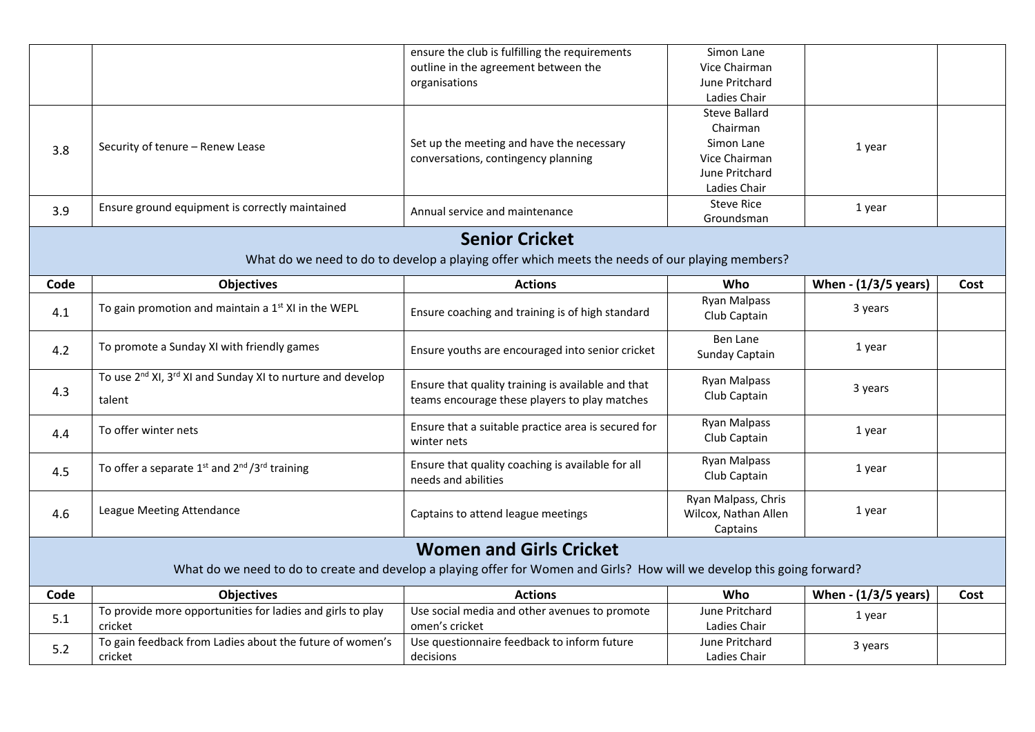|      |                                                                                    | ensure the club is fulfilling the requirements                                                                           | Simon Lane           |                      |      |
|------|------------------------------------------------------------------------------------|--------------------------------------------------------------------------------------------------------------------------|----------------------|----------------------|------|
|      |                                                                                    | outline in the agreement between the                                                                                     | Vice Chairman        |                      |      |
|      |                                                                                    | organisations                                                                                                            | June Pritchard       |                      |      |
|      |                                                                                    |                                                                                                                          | Ladies Chair         |                      |      |
|      |                                                                                    |                                                                                                                          | <b>Steve Ballard</b> |                      |      |
|      |                                                                                    |                                                                                                                          | Chairman             |                      |      |
| 3.8  | Security of tenure - Renew Lease                                                   | Set up the meeting and have the necessary                                                                                | Simon Lane           | 1 year               |      |
|      |                                                                                    | conversations, contingency planning                                                                                      | Vice Chairman        |                      |      |
|      |                                                                                    |                                                                                                                          | June Pritchard       |                      |      |
|      |                                                                                    |                                                                                                                          | Ladies Chair         |                      |      |
| 3.9  | Ensure ground equipment is correctly maintained                                    | Annual service and maintenance                                                                                           | <b>Steve Rice</b>    | 1 year               |      |
|      |                                                                                    |                                                                                                                          | Groundsman           |                      |      |
|      |                                                                                    | <b>Senior Cricket</b>                                                                                                    |                      |                      |      |
|      |                                                                                    | What do we need to do to develop a playing offer which meets the needs of our playing members?                           |                      |                      |      |
| Code | <b>Objectives</b>                                                                  | <b>Actions</b>                                                                                                           | Who                  | When - (1/3/5 years) | Cost |
|      |                                                                                    |                                                                                                                          | Ryan Malpass         |                      |      |
| 4.1  | To gain promotion and maintain a $1st$ XI in the WEPL                              | Ensure coaching and training is of high standard                                                                         | Club Captain         | 3 years              |      |
|      |                                                                                    |                                                                                                                          |                      |                      |      |
| 4.2  | To promote a Sunday XI with friendly games                                         | Ensure youths are encouraged into senior cricket                                                                         | Ben Lane             | 1 year               |      |
|      |                                                                                    |                                                                                                                          | Sunday Captain       |                      |      |
|      | To use 2 <sup>nd</sup> XI, 3 <sup>rd</sup> XI and Sunday XI to nurture and develop | Ensure that quality training is available and that                                                                       | <b>Ryan Malpass</b>  |                      |      |
| 4.3  | talent                                                                             | teams encourage these players to play matches                                                                            | Club Captain         | 3 years              |      |
|      |                                                                                    |                                                                                                                          |                      |                      |      |
|      | To offer winter nets                                                               | Ensure that a suitable practice area is secured for                                                                      | <b>Ryan Malpass</b>  | 1 year               |      |
| 4.4  |                                                                                    | winter nets                                                                                                              | Club Captain         |                      |      |
|      |                                                                                    |                                                                                                                          | <b>Ryan Malpass</b>  |                      |      |
| 4.5  | To offer a separate 1 <sup>st</sup> and 2 <sup>nd</sup> /3 <sup>rd</sup> training  | Ensure that quality coaching is available for all                                                                        | Club Captain         | 1 year               |      |
|      |                                                                                    | needs and abilities                                                                                                      |                      |                      |      |
|      | League Meeting Attendance                                                          |                                                                                                                          | Ryan Malpass, Chris  |                      |      |
| 4.6  |                                                                                    | Captains to attend league meetings                                                                                       | Wilcox, Nathan Allen | 1 year               |      |
|      |                                                                                    |                                                                                                                          | Captains             |                      |      |
|      |                                                                                    | <b>Women and Girls Cricket</b>                                                                                           |                      |                      |      |
|      |                                                                                    | What do we need to do to create and develop a playing offer for Women and Girls? How will we develop this going forward? |                      |                      |      |
| Code | <b>Objectives</b>                                                                  | <b>Actions</b>                                                                                                           | Who                  | When - (1/3/5 years) | Cost |
|      | To provide more opportunities for ladies and girls to play                         | Use social media and other avenues to promote                                                                            | June Pritchard       | 1 year               |      |
| 5.1  | cricket                                                                            | omen's cricket                                                                                                           | Ladies Chair         |                      |      |
|      | To gain feedback from Ladies about the future of women's                           | Use questionnaire feedback to inform future                                                                              | June Pritchard       | 3 years              |      |
| 5.2  | cricket                                                                            | decisions                                                                                                                | Ladies Chair         |                      |      |
|      |                                                                                    |                                                                                                                          |                      |                      |      |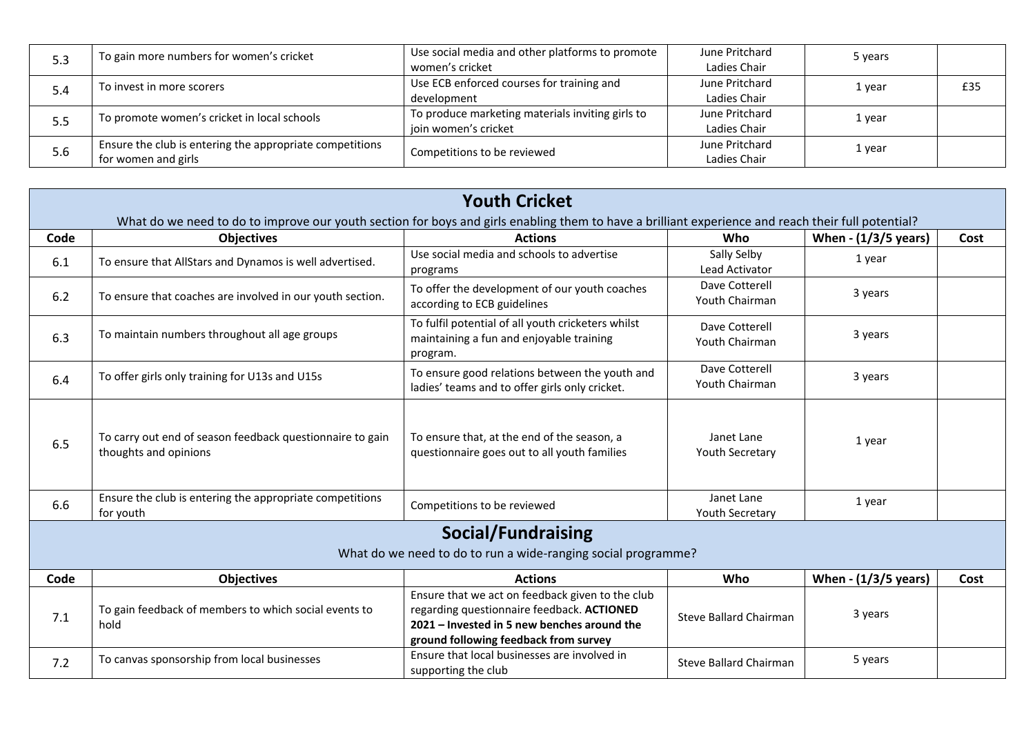| 5.3 | To gain more numbers for women's cricket                 | Use social media and other platforms to promote<br>women's cricket | June Pritchard<br>Ladies Chair | 5 years |     |
|-----|----------------------------------------------------------|--------------------------------------------------------------------|--------------------------------|---------|-----|
|     |                                                          | Use ECB enforced courses for training and                          | June Pritchard                 |         |     |
| 5.4 | To invest in more scorers                                |                                                                    | Ladies Chair                   | 1 year  | £35 |
|     |                                                          | development                                                        |                                |         |     |
| 5.5 | To promote women's cricket in local schools              | To produce marketing materials inviting girls to                   | June Pritchard                 | 1 year  |     |
|     |                                                          | join women's cricket                                               | Ladies Chair                   |         |     |
|     | Ensure the club is entering the appropriate competitions |                                                                    | June Pritchard                 | 1 year  |     |
| 5.6 | for women and girls                                      | Competitions to be reviewed                                        | Ladies Chair                   |         |     |

|      |                                                                                                                                                    | <b>Youth Cricket</b>                                                                                                                                                                   |                                      |                      |      |
|------|----------------------------------------------------------------------------------------------------------------------------------------------------|----------------------------------------------------------------------------------------------------------------------------------------------------------------------------------------|--------------------------------------|----------------------|------|
|      | What do we need to do to improve our youth section for boys and girls enabling them to have a brilliant experience and reach their full potential? |                                                                                                                                                                                        |                                      |                      |      |
| Code | <b>Objectives</b>                                                                                                                                  | <b>Actions</b>                                                                                                                                                                         | Who                                  | When - (1/3/5 years) | Cost |
| 6.1  | To ensure that AllStars and Dynamos is well advertised.                                                                                            | Use social media and schools to advertise<br>programs                                                                                                                                  | Sally Selby<br>Lead Activator        | 1 year               |      |
| 6.2  | To ensure that coaches are involved in our youth section.                                                                                          | To offer the development of our youth coaches<br>according to ECB guidelines                                                                                                           | Dave Cotterell<br>Youth Chairman     | 3 years              |      |
| 6.3  | To maintain numbers throughout all age groups                                                                                                      | To fulfil potential of all youth cricketers whilst<br>maintaining a fun and enjoyable training<br>program.                                                                             | Dave Cotterell<br>Youth Chairman     | 3 years              |      |
| 6.4  | To offer girls only training for U13s and U15s                                                                                                     | To ensure good relations between the youth and<br>ladies' teams and to offer girls only cricket.                                                                                       | Dave Cotterell<br>Youth Chairman     | 3 years              |      |
| 6.5  | To carry out end of season feedback questionnaire to gain<br>thoughts and opinions                                                                 | To ensure that, at the end of the season, a<br>questionnaire goes out to all youth families                                                                                            | Janet Lane<br><b>Youth Secretary</b> | 1 year               |      |
| 6.6  | Ensure the club is entering the appropriate competitions<br>for youth                                                                              | Competitions to be reviewed                                                                                                                                                            | Janet Lane<br>Youth Secretary        | 1 year               |      |
|      |                                                                                                                                                    | <b>Social/Fundraising</b><br>What do we need to do to run a wide-ranging social programme?                                                                                             |                                      |                      |      |
| Code | <b>Objectives</b>                                                                                                                                  | <b>Actions</b>                                                                                                                                                                         | Who                                  | When - (1/3/5 years) | Cost |
| 7.1  | To gain feedback of members to which social events to<br>hold                                                                                      | Ensure that we act on feedback given to the club<br>regarding questionnaire feedback. ACTIONED<br>2021 – Invested in 5 new benches around the<br>ground following feedback from survey | <b>Steve Ballard Chairman</b>        | 3 years              |      |
| 7.2  | To canvas sponsorship from local businesses                                                                                                        | Ensure that local businesses are involved in<br>supporting the club                                                                                                                    | Steve Ballard Chairman               | 5 years              |      |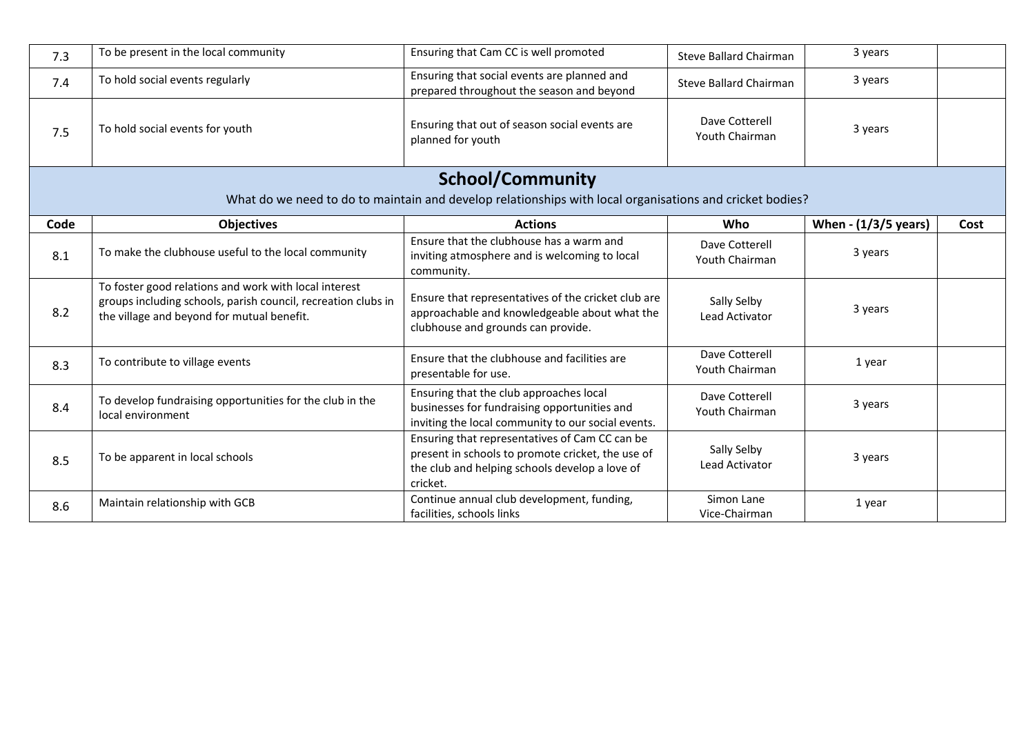| 7.3  | To be present in the local community                                                                                                                                 | Ensuring that Cam CC is well promoted                                                                                                                             | Steve Ballard Chairman           | 3 years              |      |
|------|----------------------------------------------------------------------------------------------------------------------------------------------------------------------|-------------------------------------------------------------------------------------------------------------------------------------------------------------------|----------------------------------|----------------------|------|
| 7.4  | To hold social events regularly                                                                                                                                      | Ensuring that social events are planned and<br>prepared throughout the season and beyond                                                                          | Steve Ballard Chairman           | 3 years              |      |
| 7.5  | To hold social events for youth                                                                                                                                      | Ensuring that out of season social events are<br>planned for youth                                                                                                | Dave Cotterell<br>Youth Chairman | 3 years              |      |
|      |                                                                                                                                                                      | <b>School/Community</b>                                                                                                                                           |                                  |                      |      |
|      |                                                                                                                                                                      | What do we need to do to maintain and develop relationships with local organisations and cricket bodies?                                                          |                                  |                      |      |
| Code | <b>Objectives</b>                                                                                                                                                    | <b>Actions</b>                                                                                                                                                    | <b>Who</b>                       | When - (1/3/5 years) | Cost |
| 8.1  | To make the clubhouse useful to the local community                                                                                                                  | Ensure that the clubhouse has a warm and<br>inviting atmosphere and is welcoming to local<br>community.                                                           | Dave Cotterell<br>Youth Chairman | 3 years              |      |
| 8.2  | To foster good relations and work with local interest<br>groups including schools, parish council, recreation clubs in<br>the village and beyond for mutual benefit. | Ensure that representatives of the cricket club are<br>approachable and knowledgeable about what the<br>clubhouse and grounds can provide.                        | Sally Selby<br>Lead Activator    | 3 years              |      |
| 8.3  | To contribute to village events                                                                                                                                      | Ensure that the clubhouse and facilities are<br>presentable for use.                                                                                              | Dave Cotterell<br>Youth Chairman | 1 year               |      |
| 8.4  | To develop fundraising opportunities for the club in the<br>local environment                                                                                        | Ensuring that the club approaches local<br>businesses for fundraising opportunities and<br>inviting the local community to our social events.                     | Dave Cotterell<br>Youth Chairman | 3 years              |      |
| 8.5  | To be apparent in local schools                                                                                                                                      | Ensuring that representatives of Cam CC can be<br>present in schools to promote cricket, the use of<br>the club and helping schools develop a love of<br>cricket. | Sally Selby<br>Lead Activator    | 3 years              |      |
| 8.6  | Maintain relationship with GCB                                                                                                                                       | Continue annual club development, funding,<br>facilities, schools links                                                                                           | Simon Lane<br>Vice-Chairman      | 1 year               |      |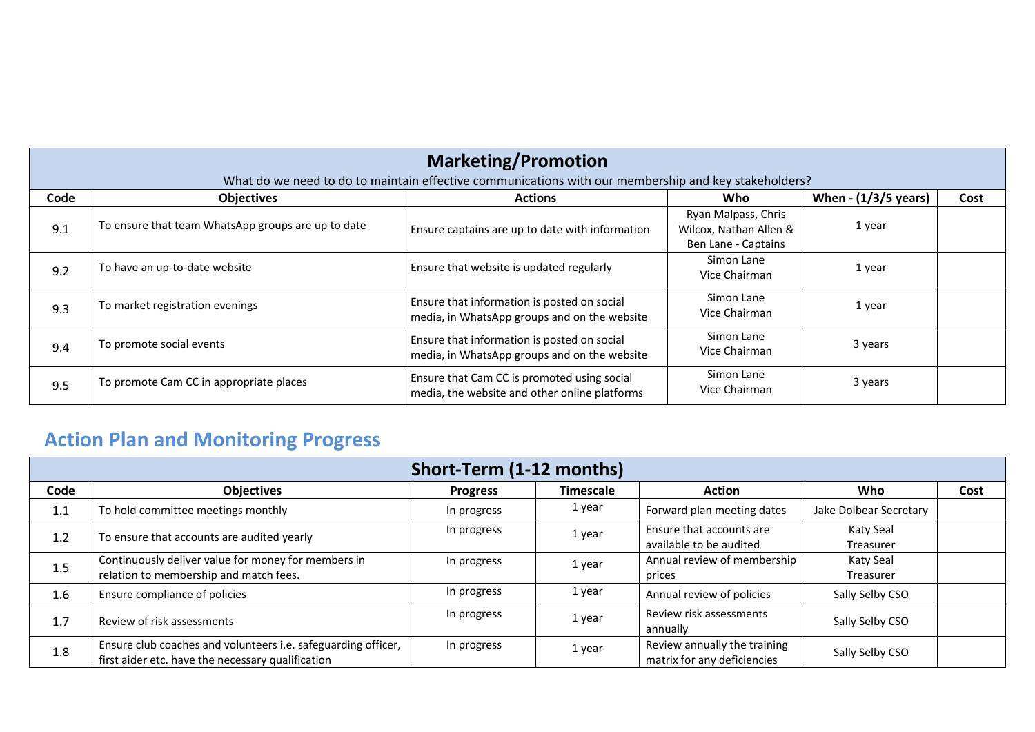|      | <b>Marketing/Promotion</b><br>What do we need to do to maintain effective communications with our membership and key stakeholders? |                                                                                              |                                                                      |                        |      |  |  |  |
|------|------------------------------------------------------------------------------------------------------------------------------------|----------------------------------------------------------------------------------------------|----------------------------------------------------------------------|------------------------|------|--|--|--|
| Code | <b>Objectives</b>                                                                                                                  | <b>Actions</b>                                                                               | Who                                                                  | When $- (1/3/5$ years) | Cost |  |  |  |
| 9.1  | To ensure that team WhatsApp groups are up to date                                                                                 | Ensure captains are up to date with information                                              | Ryan Malpass, Chris<br>Wilcox, Nathan Allen &<br>Ben Lane - Captains | 1 year                 |      |  |  |  |
| 9.2  | To have an up-to-date website                                                                                                      | Ensure that website is updated regularly                                                     | Simon Lane<br>Vice Chairman                                          | 1 year                 |      |  |  |  |
| 9.3  | To market registration evenings                                                                                                    | Ensure that information is posted on social<br>media, in WhatsApp groups and on the website  | Simon Lane<br>Vice Chairman                                          | 1 year                 |      |  |  |  |
| 9.4  | To promote social events                                                                                                           | Ensure that information is posted on social<br>media, in WhatsApp groups and on the website  | Simon Lane<br>Vice Chairman                                          | 3 years                |      |  |  |  |
| 9.5  | To promote Cam CC in appropriate places                                                                                            | Ensure that Cam CC is promoted using social<br>media, the website and other online platforms | Simon Lane<br>Vice Chairman                                          | 3 years                |      |  |  |  |

## **Action Plan and Monitoring Progress**

|      |                                                                                                                    | Short-Term (1-12 months) |                  |                                                             |                        |      |
|------|--------------------------------------------------------------------------------------------------------------------|--------------------------|------------------|-------------------------------------------------------------|------------------------|------|
| Code | <b>Objectives</b>                                                                                                  | <b>Progress</b>          | <b>Timescale</b> | <b>Action</b>                                               | Who                    | Cost |
| 1.1  | To hold committee meetings monthly                                                                                 | In progress              | 1 year           | Forward plan meeting dates                                  | Jake Dolbear Secretary |      |
| 1.2  | To ensure that accounts are audited yearly                                                                         | In progress              | 1 year           | Ensure that accounts are<br>available to be audited         | Katy Seal<br>Treasurer |      |
| 1.5  | Continuously deliver value for money for members in<br>relation to membership and match fees.                      | In progress              | 1 year           | Annual review of membership<br>prices                       | Katy Seal<br>Treasurer |      |
| 1.6  | Ensure compliance of policies                                                                                      | In progress              | 1 year           | Annual review of policies                                   | Sally Selby CSO        |      |
| 1.7  | Review of risk assessments                                                                                         | In progress              | 1 year           | Review risk assessments<br>annually                         | Sally Selby CSO        |      |
| 1.8  | Ensure club coaches and volunteers i.e. safeguarding officer,<br>first aider etc. have the necessary qualification | In progress              | 1 year           | Review annually the training<br>matrix for any deficiencies | Sally Selby CSO        |      |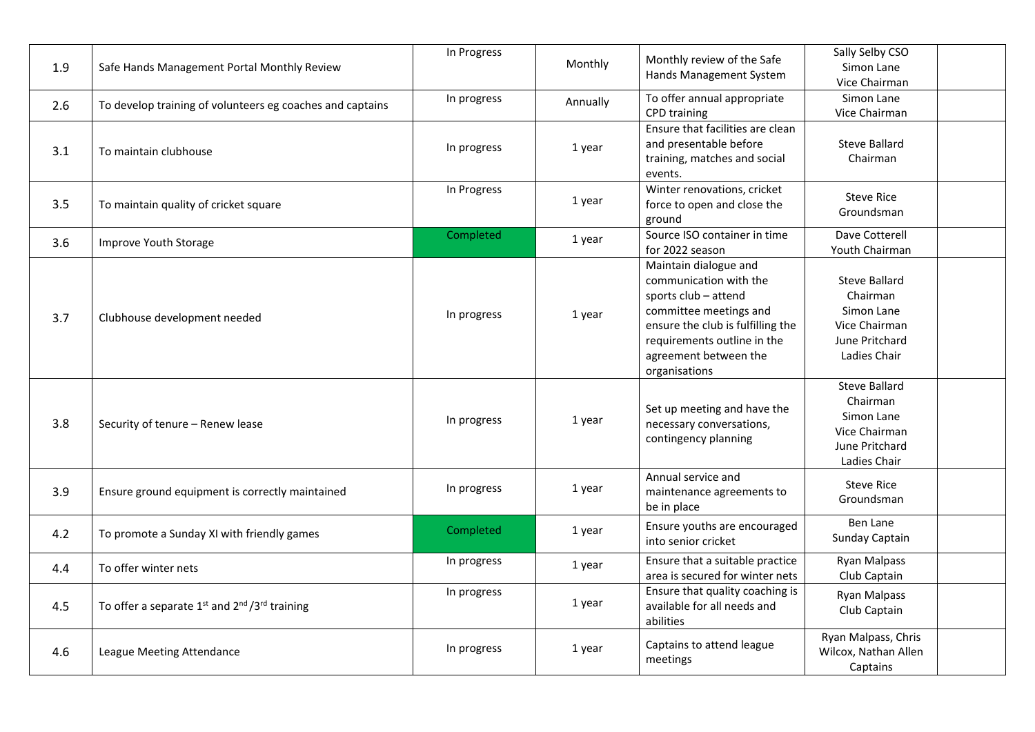| 1.9 | Safe Hands Management Portal Monthly Review               | In Progress | Monthly  | Monthly review of the Safe<br>Hands Management System                                                                                                                                                           | Sally Selby CSO<br>Simon Lane<br>Vice Chairman                                                    |  |
|-----|-----------------------------------------------------------|-------------|----------|-----------------------------------------------------------------------------------------------------------------------------------------------------------------------------------------------------------------|---------------------------------------------------------------------------------------------------|--|
| 2.6 | To develop training of volunteers eg coaches and captains | In progress | Annually | To offer annual appropriate<br>CPD training                                                                                                                                                                     | Simon Lane<br>Vice Chairman                                                                       |  |
| 3.1 | To maintain clubhouse                                     | In progress | 1 year   | Ensure that facilities are clean<br>and presentable before<br>training, matches and social<br>events.                                                                                                           | <b>Steve Ballard</b><br>Chairman                                                                  |  |
| 3.5 | To maintain quality of cricket square                     | In Progress | 1 year   | Winter renovations, cricket<br>force to open and close the<br>ground                                                                                                                                            | <b>Steve Rice</b><br>Groundsman                                                                   |  |
| 3.6 | Improve Youth Storage                                     | Completed   | 1 year   | Source ISO container in time<br>for 2022 season                                                                                                                                                                 | Dave Cotterell<br>Youth Chairman                                                                  |  |
| 3.7 | Clubhouse development needed                              | In progress | 1 year   | Maintain dialogue and<br>communication with the<br>sports club - attend<br>committee meetings and<br>ensure the club is fulfilling the<br>requirements outline in the<br>agreement between the<br>organisations | <b>Steve Ballard</b><br>Chairman<br>Simon Lane<br>Vice Chairman<br>June Pritchard<br>Ladies Chair |  |
| 3.8 | Security of tenure - Renew lease                          | In progress | 1 year   | Set up meeting and have the<br>necessary conversations,<br>contingency planning                                                                                                                                 | <b>Steve Ballard</b><br>Chairman<br>Simon Lane<br>Vice Chairman<br>June Pritchard<br>Ladies Chair |  |
| 3.9 | Ensure ground equipment is correctly maintained           | In progress | 1 year   | Annual service and<br>maintenance agreements to<br>be in place                                                                                                                                                  | <b>Steve Rice</b><br>Groundsman                                                                   |  |
| 4.2 | To promote a Sunday XI with friendly games                | Completed   | 1 year   | Ensure youths are encouraged<br>into senior cricket                                                                                                                                                             | <b>Ben Lane</b><br>Sunday Captain                                                                 |  |
| 4.4 | To offer winter nets                                      | In progress | 1 year   | Ensure that a suitable practice<br>area is secured for winter nets                                                                                                                                              | Ryan Malpass<br>Club Captain                                                                      |  |
| 4.5 | To offer a separate 1st and 2nd /3rd training             | In progress | 1 year   | Ensure that quality coaching is<br>available for all needs and<br>abilities                                                                                                                                     | Ryan Malpass<br>Club Captain                                                                      |  |
| 4.6 | League Meeting Attendance                                 | In progress | 1 year   | Captains to attend league<br>meetings                                                                                                                                                                           | Ryan Malpass, Chris<br>Wilcox, Nathan Allen<br>Captains                                           |  |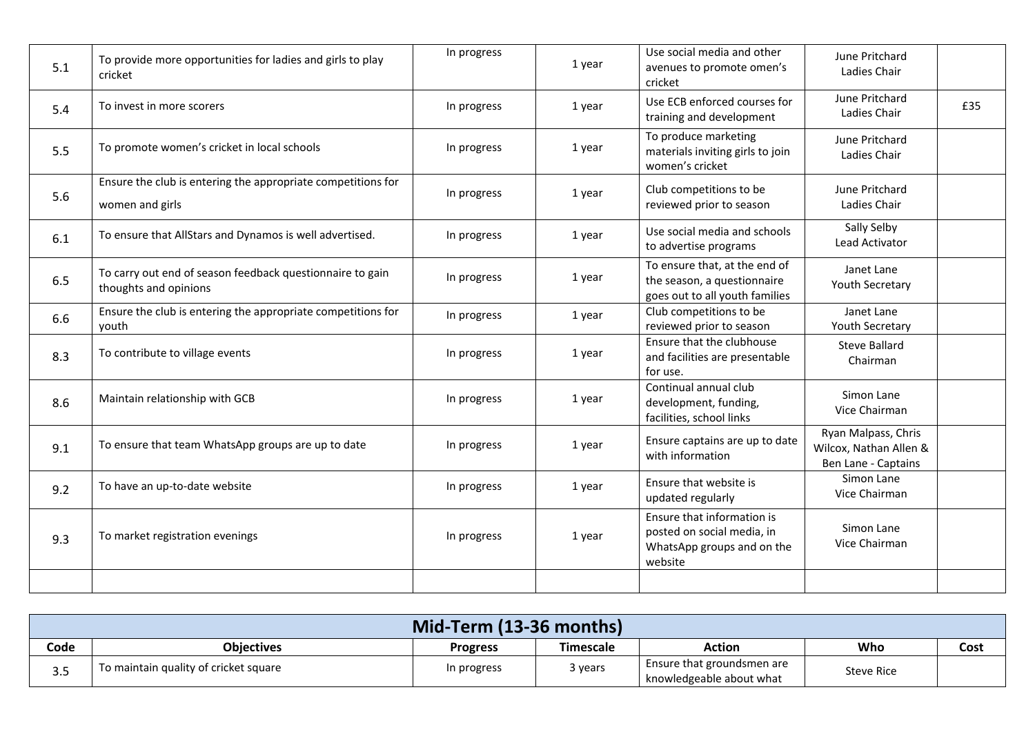| 5.1 | To provide more opportunities for ladies and girls to play<br>cricket              | In progress | 1 year | Use social media and other<br>avenues to promote omen's<br>cricket                                | June Pritchard<br>Ladies Chair                                       |     |
|-----|------------------------------------------------------------------------------------|-------------|--------|---------------------------------------------------------------------------------------------------|----------------------------------------------------------------------|-----|
| 5.4 | To invest in more scorers                                                          | In progress | 1 year | Use ECB enforced courses for<br>training and development                                          | June Pritchard<br>Ladies Chair                                       | £35 |
| 5.5 | To promote women's cricket in local schools                                        | In progress | 1 year | To produce marketing<br>materials inviting girls to join<br>women's cricket                       | June Pritchard<br>Ladies Chair                                       |     |
| 5.6 | Ensure the club is entering the appropriate competitions for<br>women and girls    | In progress | 1 year | Club competitions to be<br>reviewed prior to season                                               | June Pritchard<br>Ladies Chair                                       |     |
| 6.1 | To ensure that AllStars and Dynamos is well advertised.                            | In progress | 1 year | Use social media and schools<br>to advertise programs                                             | Sally Selby<br>Lead Activator                                        |     |
| 6.5 | To carry out end of season feedback questionnaire to gain<br>thoughts and opinions | In progress | 1 year | To ensure that, at the end of<br>the season, a questionnaire<br>goes out to all youth families    | Janet Lane<br>Youth Secretary                                        |     |
| 6.6 | Ensure the club is entering the appropriate competitions for<br>youth              | In progress | 1 year | Club competitions to be<br>reviewed prior to season                                               | Janet Lane<br>Youth Secretary                                        |     |
| 8.3 | To contribute to village events                                                    | In progress | 1 year | Ensure that the clubhouse<br>and facilities are presentable<br>for use.                           | <b>Steve Ballard</b><br>Chairman                                     |     |
| 8.6 | Maintain relationship with GCB                                                     | In progress | 1 year | Continual annual club<br>development, funding,<br>facilities, school links                        | Simon Lane<br>Vice Chairman                                          |     |
| 9.1 | To ensure that team WhatsApp groups are up to date                                 | In progress | 1 year | Ensure captains are up to date<br>with information                                                | Ryan Malpass, Chris<br>Wilcox, Nathan Allen &<br>Ben Lane - Captains |     |
| 9.2 | To have an up-to-date website                                                      | In progress | 1 year | Ensure that website is<br>updated regularly                                                       | Simon Lane<br>Vice Chairman                                          |     |
| 9.3 | To market registration evenings                                                    | In progress | 1 year | Ensure that information is<br>posted on social media, in<br>WhatsApp groups and on the<br>website | Simon Lane<br>Vice Chairman                                          |     |
|     |                                                                                    |             |        |                                                                                                   |                                                                      |     |

|           | Mid-Term (13-36 months)               |                 |           |                                                        |                   |      |
|-----------|---------------------------------------|-----------------|-----------|--------------------------------------------------------|-------------------|------|
| Code      | <b>Objectives</b>                     | <b>Progress</b> | Timescale | <b>Action</b>                                          | Who               | Cost |
| 25<br>ر.ر | To maintain quality of cricket square | In progress     | 3 years   | Ensure that groundsmen are<br>knowledgeable about what | <b>Steve Rice</b> |      |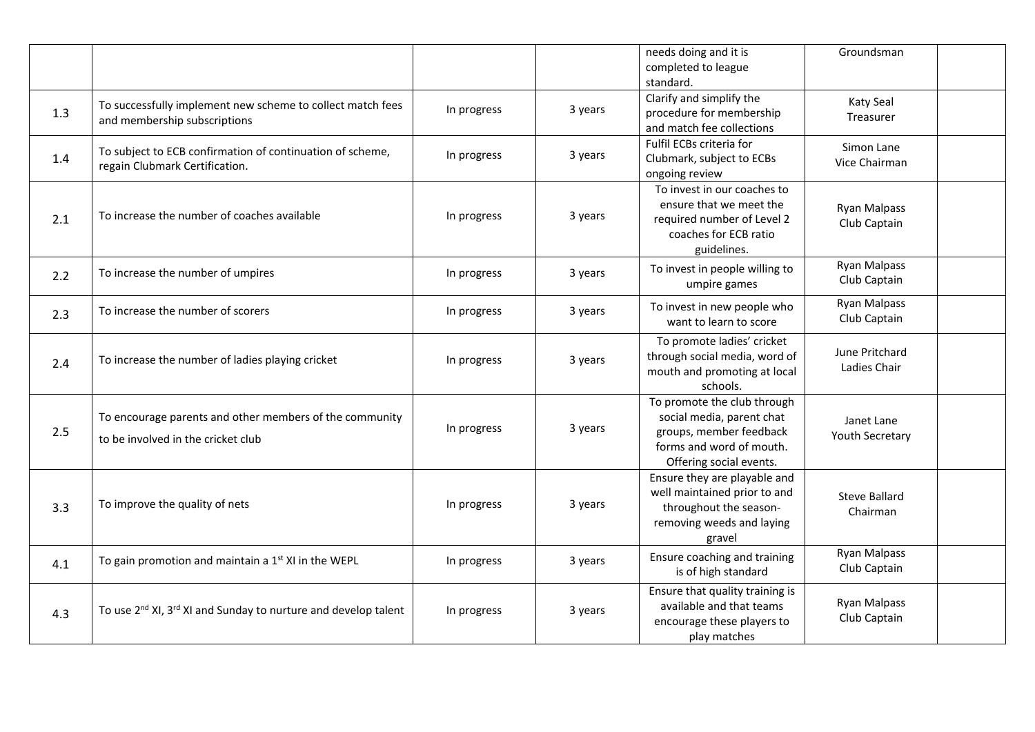|     |                                                                                               |             |         | needs doing and it is<br>completed to league<br>standard.                                                                                  | Groundsman                          |  |
|-----|-----------------------------------------------------------------------------------------------|-------------|---------|--------------------------------------------------------------------------------------------------------------------------------------------|-------------------------------------|--|
| 1.3 | To successfully implement new scheme to collect match fees<br>and membership subscriptions    | In progress | 3 years | Clarify and simplify the<br>procedure for membership<br>and match fee collections                                                          | Katy Seal<br>Treasurer              |  |
| 1.4 | To subject to ECB confirmation of continuation of scheme,<br>regain Clubmark Certification.   | In progress | 3 years | Fulfil ECBs criteria for<br>Clubmark, subject to ECBs<br>ongoing review                                                                    | Simon Lane<br>Vice Chairman         |  |
| 2.1 | To increase the number of coaches available                                                   | In progress | 3 years | To invest in our coaches to<br>ensure that we meet the<br>required number of Level 2<br>coaches for ECB ratio<br>guidelines.               | <b>Ryan Malpass</b><br>Club Captain |  |
| 2.2 | To increase the number of umpires                                                             | In progress | 3 years | To invest in people willing to<br>umpire games                                                                                             | <b>Ryan Malpass</b><br>Club Captain |  |
| 2.3 | To increase the number of scorers                                                             | In progress | 3 years | To invest in new people who<br>want to learn to score                                                                                      | <b>Ryan Malpass</b><br>Club Captain |  |
| 2.4 | To increase the number of ladies playing cricket                                              | In progress | 3 years | To promote ladies' cricket<br>through social media, word of<br>mouth and promoting at local<br>schools.                                    | June Pritchard<br>Ladies Chair      |  |
| 2.5 | To encourage parents and other members of the community<br>to be involved in the cricket club | In progress | 3 years | To promote the club through<br>social media, parent chat<br>groups, member feedback<br>forms and word of mouth.<br>Offering social events. | Janet Lane<br>Youth Secretary       |  |
| 3.3 | To improve the quality of nets                                                                | In progress | 3 years | Ensure they are playable and<br>well maintained prior to and<br>throughout the season-<br>removing weeds and laying<br>gravel              | <b>Steve Ballard</b><br>Chairman    |  |
| 4.1 | To gain promotion and maintain a 1 <sup>st</sup> XI in the WEPL                               | In progress | 3 years | Ensure coaching and training<br>is of high standard                                                                                        | <b>Ryan Malpass</b><br>Club Captain |  |
| 4.3 | To use 2 <sup>nd</sup> XI, 3 <sup>rd</sup> XI and Sunday to nurture and develop talent        | In progress | 3 years | Ensure that quality training is<br>available and that teams<br>encourage these players to<br>play matches                                  | <b>Ryan Malpass</b><br>Club Captain |  |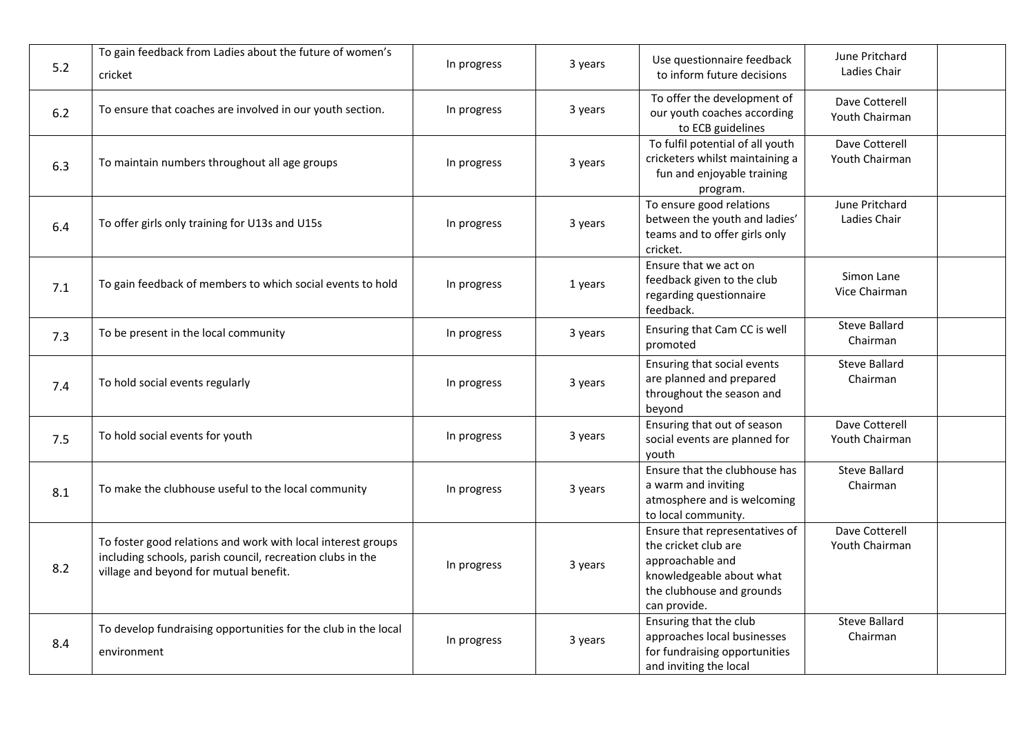| 5.2 | To gain feedback from Ladies about the future of women's<br>cricket                                                                                                  | In progress | 3 years | Use questionnaire feedback<br>to inform future decisions                                                                                            | June Pritchard<br>Ladies Chair   |  |
|-----|----------------------------------------------------------------------------------------------------------------------------------------------------------------------|-------------|---------|-----------------------------------------------------------------------------------------------------------------------------------------------------|----------------------------------|--|
| 6.2 | To ensure that coaches are involved in our youth section.                                                                                                            | In progress | 3 years | To offer the development of<br>our youth coaches according<br>to ECB guidelines                                                                     | Dave Cotterell<br>Youth Chairman |  |
| 6.3 | To maintain numbers throughout all age groups                                                                                                                        | In progress | 3 years | To fulfil potential of all youth<br>cricketers whilst maintaining a<br>fun and enjoyable training<br>program.                                       | Dave Cotterell<br>Youth Chairman |  |
| 6.4 | To offer girls only training for U13s and U15s                                                                                                                       | In progress | 3 years | To ensure good relations<br>between the youth and ladies'<br>teams and to offer girls only<br>cricket.                                              | June Pritchard<br>Ladies Chair   |  |
| 7.1 | To gain feedback of members to which social events to hold                                                                                                           | In progress | 1 years | Ensure that we act on<br>feedback given to the club<br>regarding questionnaire<br>feedback.                                                         | Simon Lane<br>Vice Chairman      |  |
| 7.3 | To be present in the local community                                                                                                                                 | In progress | 3 years | Ensuring that Cam CC is well<br>promoted                                                                                                            | <b>Steve Ballard</b><br>Chairman |  |
| 7.4 | To hold social events regularly                                                                                                                                      | In progress | 3 years | Ensuring that social events<br>are planned and prepared<br>throughout the season and<br>beyond                                                      | <b>Steve Ballard</b><br>Chairman |  |
| 7.5 | To hold social events for youth                                                                                                                                      | In progress | 3 years | Ensuring that out of season<br>social events are planned for<br>youth                                                                               | Dave Cotterell<br>Youth Chairman |  |
| 8.1 | To make the clubhouse useful to the local community                                                                                                                  | In progress | 3 years | Ensure that the clubhouse has<br>a warm and inviting<br>atmosphere and is welcoming<br>to local community.                                          | <b>Steve Ballard</b><br>Chairman |  |
| 8.2 | To foster good relations and work with local interest groups<br>including schools, parish council, recreation clubs in the<br>village and beyond for mutual benefit. | In progress | 3 years | Ensure that representatives of<br>the cricket club are<br>approachable and<br>knowledgeable about what<br>the clubhouse and grounds<br>can provide. | Dave Cotterell<br>Youth Chairman |  |
| 8.4 | To develop fundraising opportunities for the club in the local<br>environment                                                                                        | In progress | 3 years | Ensuring that the club<br>approaches local businesses<br>for fundraising opportunities<br>and inviting the local                                    | <b>Steve Ballard</b><br>Chairman |  |